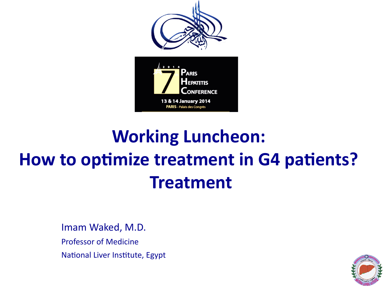

### **Working Luncheon: How to optimize treatment in G4 patients? Treatment**

Imam
Waked,
M.D. Professor
of
Medicine National Liver Institute, Egypt

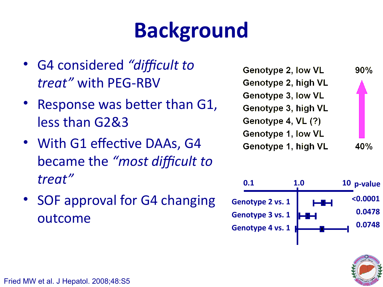## **Background**

- G4 considered "difficult to *treat"* with
PEG-RBV
- Response was better than G1, less
than
G2&3
- With G1 effective DAAs, G4 became
the *"most difcult to treat"*
- SOF approval for G4 changing outcome

| Genotype 2, low VL  | $90\%$ |
|---------------------|--------|
| Genotype 2, high VL |        |
| Genotype 3, low VL  |        |
| Genotype 3, high VL |        |
| Genotype 4, VL (?)  |        |
| Genotype 1, low VL  |        |
| Genotype 1, high VL |        |



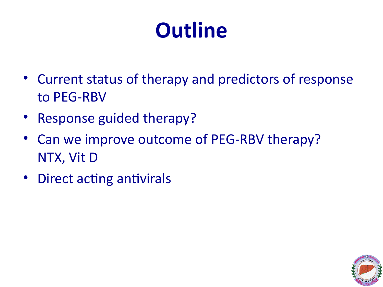## **Outline**

- Current status of therapy and predictors of response to
PEG-RBV
- Response guided therapy?
- Can we improve outcome of PEG-RBV therapy? NTX,
Vit
D
- Direct acting antivirals

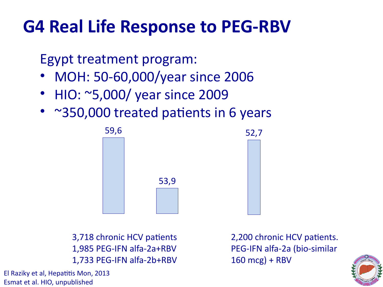### **G4 Real Life Response to PEG-RBV**

Egypt
treatment
program:

- MOH: 50-60,000/year since 2006
- HIO: ~5,000/ year since 2009
- ~350,000 treated patients in 6 years



3,718 chronic HCV patients 1,985
PEG-IFN
alfa-2a+RBV 1,733
PEG-IFN
alfa-2b+RBV 2,200 chronic HCV patients. PEG-IFN
alfa-2a
(bio-similar  $160$  mcg) + RBV



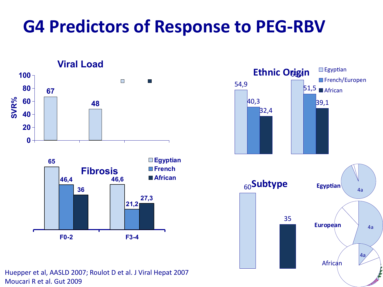### **G4 Predictors of Response to PEG-RBV**







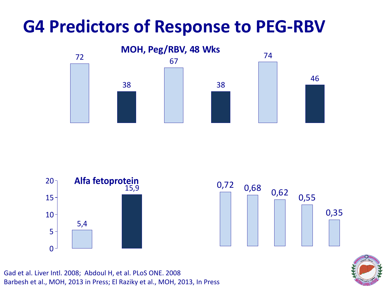### **G4 Predictors of Response to PEG-RBV**







Gad
et
al.
Liver
Intl.
2008;

Abdoul
H,
et
al.
PLoS
ONE.
2008 Barbesh
et
al.,
MOH,
2013
in
Press;
El
Raziky
et
al.,
MOH,
2013,
In
Press

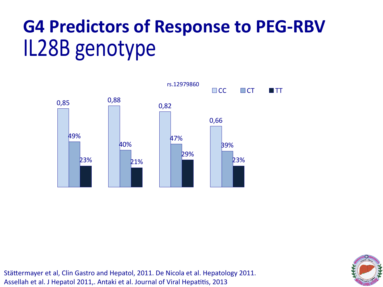## **G4 Predictors of Response to PEG-RBV** IL28B
genotype



Stättermayer et al, Clin Gastro and Hepatol, 2011. De Nicola et al. Hepatology 2011. Assellah et al. J Hepatol 2011,. Antaki et al. Journal of Viral Hepatitis, 2013

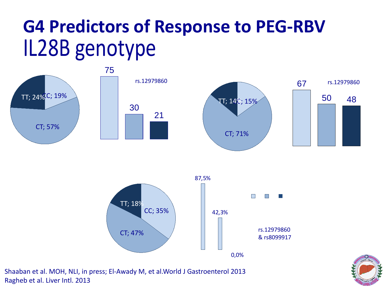### IL28B
genotype **G4 Predictors of Response to PEG-RBV**







Shaaban
et
al.
MOH,
NLI,
in
press;
El-Awady
M,
et
al.World
J
Gastroenterol
2013 Ragheb
et
al.
Liver
Intl.
2013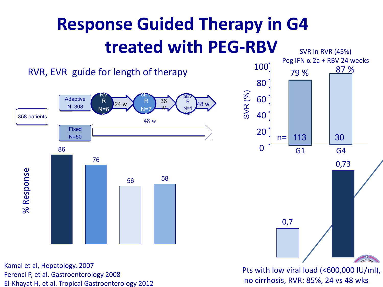### **Response Guided Therapy in G4 treated with PEG-RBV** SVR
in
RVR
(45%)



El-Khayat
H,
et
al.
Tropical
Gastroenterology
2012

no
cirrhosis,
RVR:
85%,
24
vs
48
wks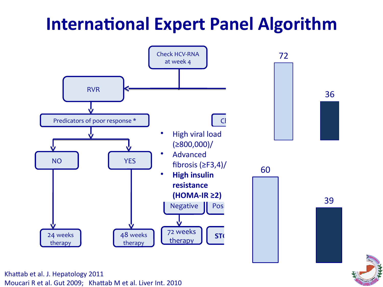### **International Expert Panel Algorithm**



Moucari R et al. Gut 2009; Khattab M et al. Liver Int. 2010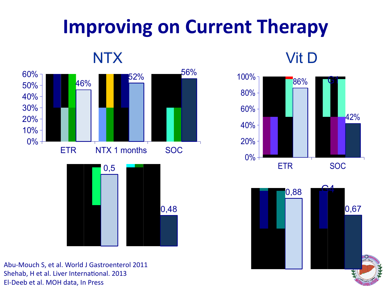## **Improving on Current Therapy**

**NTX** 







Abu-Mouch
S,
et
al.
World
J
Gastroenterol
2011 Shehab, H et al. Liver International. 2013 El-Deeb
et
al.
MOH
data,
In
Press





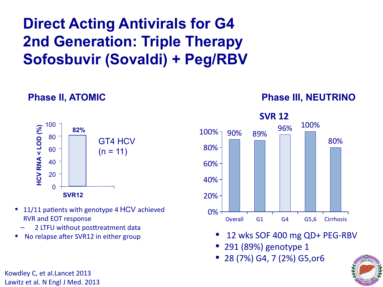### **Direct Acting Antivirals for G4 2nd Generation: Triple Therapy Sofosbuvir (Sovaldi) + Peg/RBV**

#### GT4 HCV  $(n = 11)$ 100 80 60 40 20  $\Omega$ **82% SVR12 HCV RNA <LOD (%)**

**Phase II, ATOMIC**

- 11/11 patients with genotype 4 HCV achieved RVR
and
EOT
response
	- 2 LTFU without posttreatment data
- No
relapse
after
SVR12
in
either
group

Kowdley
C,
et
al.Lancet
2013 Lawitz
et
al.
N
Engl
J
Med.
2013

#### **Phase III, NEUTRINO**



- 12
wks
SOF
400
mg
QD+
PEG-RBV
- 291
(89%)
genotype
1
- 28
(7%)
G4,
7
(2%)
G5,or6

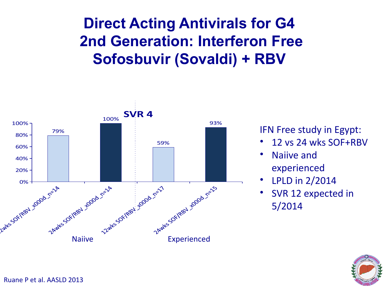### **Direct Acting Antivirals for G4 2nd Generation: Interferon Free Sofosbuvir (Sovaldi) + RBV**



IFN
Free
study
in
Egypt:

- 12
vs
24
wks
SOF+RBV
- Naiive
and experienced
- LPLD in 2/2014
- SVR 12 expected in 5/2014

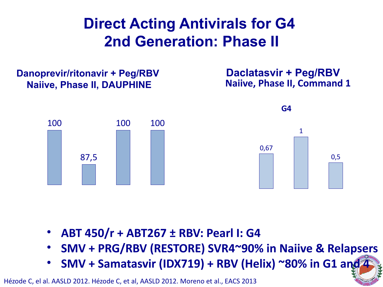### **Direct Acting Antivirals for G4 2nd Generation: Phase II**

#### **Danoprevir/ritonavir + Peg/RBV Naiive, Phase II, DAUPHINE**

**Daclatasvir + Peg/RBV Naiive, Phase II, Command 1**





- **ABT 450/r + ABT267 ± RBV: Pearl I: G4**
- **SMV + PRG/RBV (RESTORE) SVR4~90% in Naiive & Relapsers**
- **SMV + Samatasvir (IDX719) + RBV (Helix) ~80% in G1 and 4**

Hézode C, el al. AASLD 2012. Hézode C, et al, AASLD 2012. Moreno et al., EACS 2013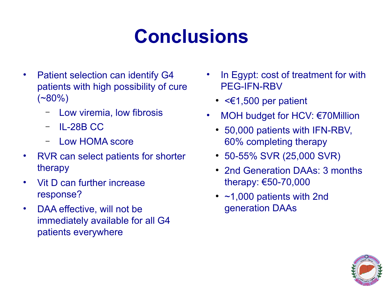### **Conclusions**

- Patient selection can identify G4 patients with high possibility of cure  $(*80\%)$ 
	- Low viremia, low fibrosis
	- IL-28B CC
	- Low HOMA score
- RVR can select patients for shorter therapy
- Vit D can further increase response?
- DAA effective, will not be immediately available for all G4 patients everywhere
- In Egypt: cost of treatment for with PEG-IFN-RBV
	- $\cdot$  <  $\epsilon$ 1,500 per patient
- MOH budget for HCV:  $\epsilon$ 70Million
	- 50,000 patients with IFN-RBV, 60% completing therapy
	- 50-55% SVR (25,000 SVR)
	- 2nd Generation DAAs: 3 months therapy: €50-70,000
	- $\cdot$  ~1,000 patients with 2nd generation DAAs

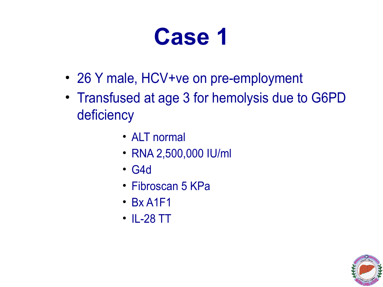- 26 Y male, HCV+ve on pre-employment
- Transfused at age 3 for hemolysis due to G6PD deficiency
	- ALT normal
	- RNA 2,500,000 IU/ml
	- G4d
	- Fibroscan 5 KPa
	- $\cdot$  Bx A1F1
	- IL-28 TT

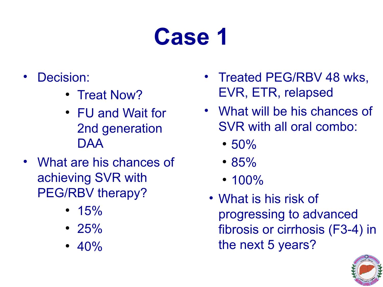- Decision:
	- Treat Now?
	- FU and Wait for 2nd generation DAA
- What are his chances of achieving SVR with PEG/RBV therapy?
	- $\cdot$  15%
	- $25%$
	- $40%$
- Treated PEG/RBV 48 wks, EVR, ETR, relapsed
- What will be his chances of SVR with all oral combo:
	- $50%$
	- 85%
	- $\cdot$  100%
	- What is his risk of progressing to advanced fibrosis or cirrhosis (F3-4) in the next 5 years?

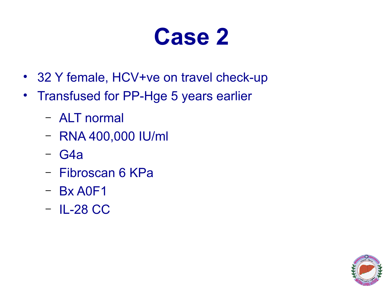- 32 Y female, HCV+ve on travel check-up
- Transfused for PP-Hge 5 years earlier
	- ALT normal
	- RNA 400,000 IU/ml
	- G4a
	- Fibroscan 6 KPa
	- Bx A0F1
	- IL-28 CC

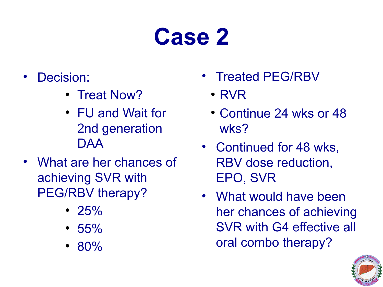- Decision:
	- Treat Now?
	- FU and Wait for 2nd generation DAA
- What are her chances of achieving SVR with PEG/RBV therapy?
	- $\cdot$  25%
	- $55%$
	- 80%
- Treated PEG/RBV
	- $\cdot$  RVR
	- Continue 24 wks or 48 wks?
- Continued for 48 wks, RBV dose reduction, EPO, SVR
- What would have been her chances of achieving SVR with G4 effective all oral combo therapy?